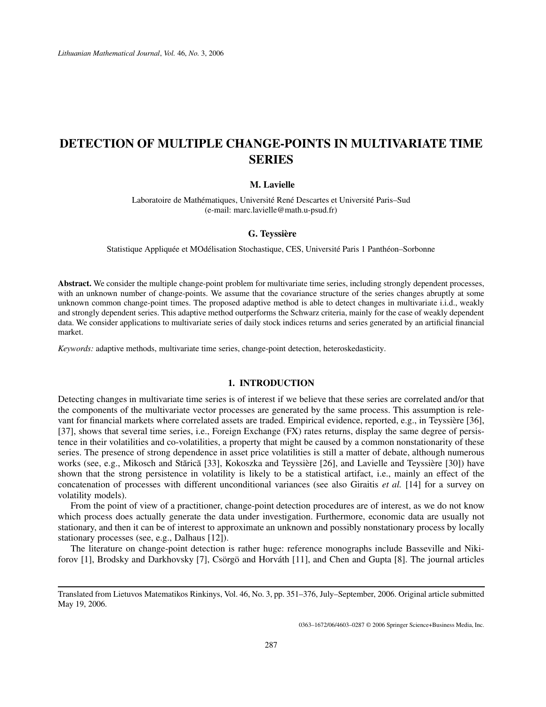# **DETECTION OF MULTIPLE CHANGE-POINTS IN MULTIVARIATE TIME SERIES**

# **M. Lavielle**

Laboratoire de Mathématiques, Université René Descartes et Université Paris–Sud (e-mail: marc.lavielle@math.u-psud.fr)

# **G. Teyssière**

Statistique Appliquée et MOdélisation Stochastique, CES, Université Paris 1 Panthéon–Sorbonne

**Abstract.** We consider the multiple change-point problem for multivariate time series, including strongly dependent processes, with an unknown number of change-points. We assume that the covariance structure of the series changes abruptly at some unknown common change-point times. The proposed adaptive method is able to detect changes in multivariate i.i.d., weakly and strongly dependent series. This adaptive method outperforms the Schwarz criteria, mainly for the case of weakly dependent data. We consider applications to multivariate series of daily stock indices returns and series generated by an artificial financial market.

*Keywords:* adaptive methods, multivariate time series, change-point detection, heteroskedasticity.

# **1. INTRODUCTION**

Detecting changes in multivariate time series is of interest if we believe that these series are correlated and/or that the components of the multivariate vector processes are generated by the same process. This assumption is relevant for financial markets where correlated assets are traded. Empirical evidence, reported, e.g., in Teyssière [36], [37], shows that several time series, i.e., Foreign Exchange (FX) rates returns, display the same degree of persistence in their volatilities and co-volatilities, a property that might be caused by a common nonstationarity of these series. The presence of strong dependence in asset price volatilities is still a matter of debate, although numerous works (see, e.g., Mikosch and Stărică [33], Kokoszka and Teyssière [26], and Lavielle and Teyssière [30]) have shown that the strong persistence in volatility is likely to be a statistical artifact, i.e., mainly an effect of the concatenation of processes with different unconditional variances (see also Giraitis *et al.* [14] for a survey on volatility models).

From the point of view of a practitioner, change-point detection procedures are of interest, as we do not know which process does actually generate the data under investigation. Furthermore, economic data are usually not stationary, and then it can be of interest to approximate an unknown and possibly nonstationary process by locally stationary processes (see, e.g., Dalhaus [12]).

The literature on change-point detection is rather huge: reference monographs include Basseville and Nikiforov [1], Brodsky and Darkhovsky [7], Csörgö and Horváth [11], and Chen and Gupta [8]. The journal articles

0363–1672/06/4603–0287 © 2006 Springer Science+Business Media, Inc.

Translated from Lietuvos Matematikos Rinkinys, Vol. 46, No. 3, pp. 351–376, July–September, 2006. Original article submitted May 19, 2006.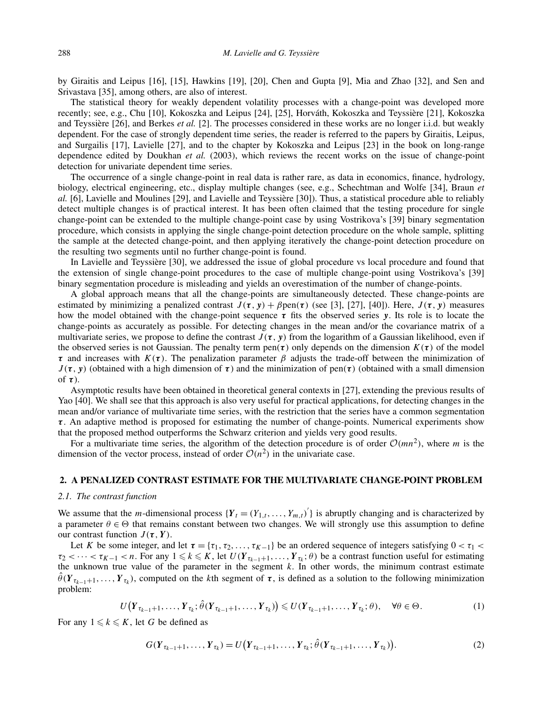by Giraitis and Leipus [16], [15], Hawkins [19], [20], Chen and Gupta [9], Mia and Zhao [32], and Sen and Srivastava [35], among others, are also of interest.

The statistical theory for weakly dependent volatility processes with a change-point was developed more recently; see, e.g., Chu [10], Kokoszka and Leipus [24], [25], Horváth, Kokoszka and Teyssière [21], Kokoszka and Teyssière [26], and Berkes *et al.* [2]. The processes considered in these works are no longer i.i.d. but weakly dependent. For the case of strongly dependent time series, the reader is referred to the papers by Giraitis, Leipus, and Surgailis [17], Lavielle [27], and to the chapter by Kokoszka and Leipus [23] in the book on long-range dependence edited by Doukhan *et al.* (2003), which reviews the recent works on the issue of change-point detection for univariate dependent time series.

The occurrence of a single change-point in real data is rather rare, as data in economics, finance, hydrology, biology, electrical engineering, etc., display multiple changes (see, e.g., Schechtman and Wolfe [34], Braun *et al.* [6], Lavielle and Moulines [29], and Lavielle and Teyssière [30]). Thus, a statistical procedure able to reliably detect multiple changes is of practical interest. It has been often claimed that the testing procedure for single change-point can be extended to the multiple change-point case by using Vostrikova's [39] binary segmentation procedure, which consists in applying the single change-point detection procedure on the whole sample, splitting the sample at the detected change-point, and then applying iteratively the change-point detection procedure on the resulting two segments until no further change-point is found.

In Lavielle and Teyssière [30], we addressed the issue of global procedure vs local procedure and found that the extension of single change-point procedures to the case of multiple change-point using Vostrikova's [39] binary segmentation procedure is misleading and yields an overestimation of the number of change-points.

A global approach means that all the change-points are simultaneously detected. These change-points are estimated by minimizing a penalized contrast  $J(\tau, y) + \beta \text{pen}(\tau)$  (see [3], [27], [40]). Here,  $J(\tau, y)$  measures how the model obtained with the change-point sequence *τ* fits the observed series *y*. Its role is to locate the change-points as accurately as possible. For detecting changes in the mean and/or the covariance matrix of a multivariate series, we propose to define the contrast  $J(\tau, y)$  from the logarithm of a Gaussian likelihood, even if the observed series is not Gaussian. The penalty term pen $(\tau)$  only depends on the dimension  $K(\tau)$  of the model *τ* and increases with  $K(\tau)$ . The penalization parameter *β* adjusts the trade-off between the minimization of  $J(\tau, y)$  (obtained with a high dimension of  $\tau$ ) and the minimization of pen $(\tau)$  (obtained with a small dimension of *τ*).

Asymptotic results have been obtained in theoretical general contexts in [27], extending the previous results of Yao [40]. We shall see that this approach is also very useful for practical applications, for detecting changes in the mean and/or variance of multivariate time series, with the restriction that the series have a common segmentation *τ* . An adaptive method is proposed for estimating the number of change-points. Numerical experiments show that the proposed method outperforms the Schwarz criterion and yields very good results.

For a multivariate time series, the algorithm of the detection procedure is of order  $\mathcal{O}(mn^2)$ , where *m* is the dimension of the vector process, instead of order  $O(n^2)$  in the univariate case.

### **2. A PENALIZED CONTRAST ESTIMATE FOR THE MULTIVARIATE CHANGE-POINT PROBLEM**

#### *2.1. The contrast function*

We assume that the *m*-dimensional process  ${Y_t = (Y_{1,t}, ..., Y_{m,t})}'$  is abruptly changing and is characterized by a parameter  $\theta \in \Theta$  that remains constant between two changes. We will strongly use this assumption to define our contrast function  $J(\tau, Y)$ .

Let *K* be some integer, and let  $\tau = {\tau_1, \tau_2, \ldots, \tau_{K-1}}$  be an ordered sequence of integers satisfying  $0 < \tau_1 <$  $\tau_2$  < ··· <  $\tau_{K-1}$  < *n*. For any  $1 \leq k \leq K$ , let  $U(Y_{\tau_{k-1}+1},...,Y_{\tau_k};\theta)$  be a contrast function useful for estimating the unknown true value of the parameter in the segment  $k$ . In other words, the minimum contrast estimate  $\theta(Y_{\tau_{k-1}+1},\ldots,Y_{\tau_k})$ , computed on the *k*th segment of  $\tau$ , is defined as a solution to the following minimization problem:

$$
U(Y_{\tau_{k-1}+1},\ldots,Y_{\tau_k};\hat{\theta}(Y_{\tau_{k-1}+1},\ldots,Y_{\tau_k})\leqslant U(Y_{\tau_{k-1}+1},\ldots,Y_{\tau_k};\theta),\quad\forall\theta\in\Theta.
$$
\n
$$
(1)
$$

For any  $1 \leq k \leq K$ , let *G* be defined as

$$
G(Y_{\tau_{k-1}+1},\ldots,Y_{\tau_k})=U(Y_{\tau_{k-1}+1},\ldots,Y_{\tau_k};\hat{\theta}(Y_{\tau_{k-1}+1},\ldots,Y_{\tau_k})).
$$
\n(2)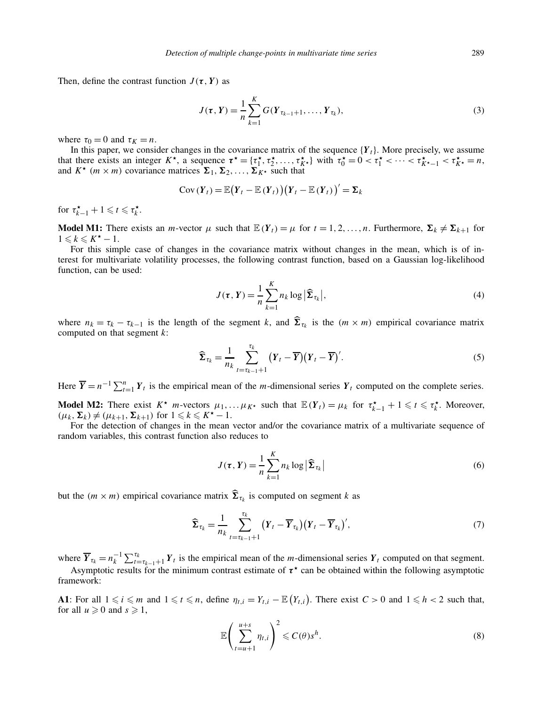Then, define the contrast function  $J(\tau, Y)$  as

$$
J(\tau, Y) = \frac{1}{n} \sum_{k=1}^{K} G(Y_{\tau_{k-1}+1}, \dots, Y_{\tau_k}),
$$
\n(3)

where  $\tau_0 = 0$  and  $\tau_K = n$ .

In this paper, we consider changes in the covariance matrix of the sequence  ${Y_t}$ . More precisely, we assume that there exists an integer  $K^*$ , a sequence  $\tau^* = {\tau_1^*, \tau_2^*, \ldots, \tau_{K^*}^*}$  with  $\tau_0^* = 0 < \tau_1^* < \cdots < \tau_{K^*-1}^* < \tau_{K^*}^* = n$ , and  $K^*$  ( $m \times m$ ) covariance matrices  $\sum_1, \sum_2, \ldots, \sum_K^2$  such that

$$
Cov(Y_t) = \mathbb{E}(Y_t - \mathbb{E}(Y_t))(Y_t - \mathbb{E}(Y_t))' = \Sigma_k
$$

for  $\tau_{k-1}^{\star} + 1 \leq t \leq \tau_k^{\star}$ .

**Model M1:** There exists an *m*-vector  $\mu$  such that  $\mathbb{E}(Y_t) = \mu$  for  $t = 1, 2, ..., n$ . Furthermore,  $\Sigma_k \neq \Sigma_{k+1}$  for  $1 \leq k \leq K^{\star} - 1.$ 

For this simple case of changes in the covariance matrix without changes in the mean, which is of interest for multivariate volatility processes, the following contrast function, based on a Gaussian log-likelihood function, can be used:

$$
J(\tau, Y) = \frac{1}{n} \sum_{k=1}^{K} n_k \log |\widehat{\Sigma}_{\tau_k}|,
$$
\n(4)

where  $n_k = \tau_k - \tau_{k-1}$  is the length of the segment *k*, and  $\hat{\Sigma}_{\tau_k}$  is the  $(m \times m)$  empirical covariance matrix computed on that segment *k*:

$$
\widehat{\Sigma}_{\tau_k} = \frac{1}{n_k} \sum_{t=\tau_{k-1}+1}^{\tau_k} (Y_t - \overline{Y})(Y_t - \overline{Y})'.
$$
\n(5)

Here  $\overline{Y} = n^{-1} \sum_{t=1}^{n} Y_t$  is the empirical mean of the *m*-dimensional series  $Y_t$  computed on the complete series.

**Model M2:** There exist  $K^*$  *m*-vectors  $\mu_1, \ldots, \mu_{K^*}$  such that  $\mathbb{E}(Y_t) = \mu_k$  for  $\tau_{k-1}^* + 1 \leq t \leq \tau_k^*$ . Moreover,  $(\mu_k, \Sigma_k) \neq (\mu_{k+1}, \Sigma_{k+1})$  for  $1 \leq k \leq K^* - 1$ .

For the detection of changes in the mean vector and/or the covariance matrix of a multivariate sequence of random variables, this contrast function also reduces to

$$
J(\tau, Y) = \frac{1}{n} \sum_{k=1}^{K} n_k \log |\widehat{\Sigma}_{\tau_k}|
$$
\n(6)

but the  $(m \times m)$  empirical covariance matrix  $\sum_{\tau_k}$  is computed on segment *k* as

$$
\widehat{\boldsymbol{\Sigma}}_{\tau_k} = \frac{1}{n_k} \sum_{t=\tau_{k-1}+1}^{\tau_k} (Y_t - \overline{Y}_{\tau_k}) (Y_t - \overline{Y}_{\tau_k})', \tag{7}
$$

where  $\overline{Y}_{\tau_k} = n_k^{-1} \sum_{t=\tau_{k-1}+1}^{\tau_k} Y_t$  is the empirical mean of the *m*-dimensional series  $Y_t$  computed on that segment.

Asymptotic results for the minimum contrast estimate of  $\tau^*$  can be obtained within the following asymptotic framework:

**A1**: For all  $1 \le i \le m$  and  $1 \le t \le n$ , define  $\eta_{t,i} = Y_{t,i} - \mathbb{E}(Y_{t,i})$ . There exist  $C > 0$  and  $1 \le h < 2$  such that, for all  $u \geqslant 0$  and  $s \geqslant 1$ ,

$$
\mathbb{E}\left(\sum_{t=u+1}^{u+s}\eta_{t,i}\right)^2 \leqslant C(\theta)s^h.
$$
\n(8)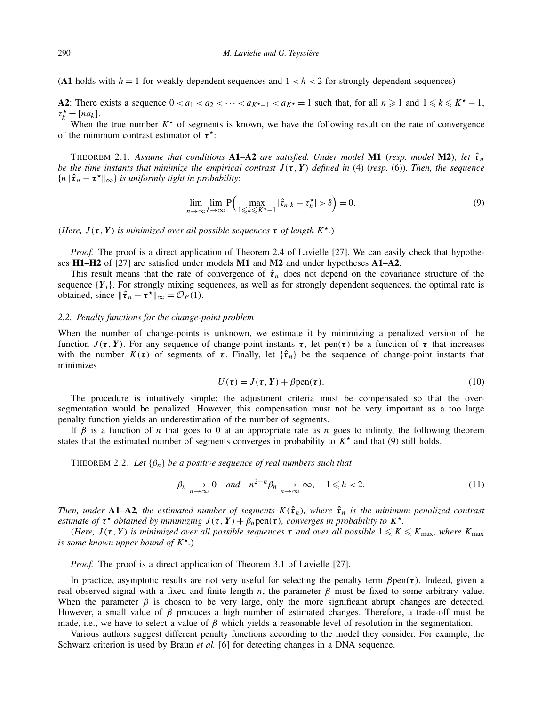(A1 holds with  $h = 1$  for weakly dependent sequences and  $1 < h < 2$  for strongly dependent sequences)

**A2**: There exists a sequence  $0 < a_1 < a_2 < \cdots < a_{K^* - 1} < a_K = 1$  such that, for all  $n \ge 1$  and  $1 \le k \le K^* - 1$ ,  $\tau_k^* = [na_k].$ 

When the true number  $K^*$  of segments is known, we have the following result on the rate of convergence of the minimum contrast estimator of  $τ^*$ :

THEOREM 2.1. Assume that conditions  $A1-A2$  are satisfied. Under model  $M1$  (resp. model  $M2$ ), let  $\hat{\tau}_n$ *be the time instants that minimize the empirical contrast*  $J(\tau, Y)$  *defined in* (4) (*resp.* (6)). Then, the sequence  ${n \parallel \hat{\tau}_n - \tau^* \parallel_{\infty}}$  *is uniformly tight in probability*:

$$
\lim_{n \to \infty} \lim_{\delta \to \infty} P\Big(\max_{1 \leq k \leq K^* - 1} |\hat{\tau}_{n,k} - \tau_k^*| > \delta\Big) = 0. \tag{9}
$$

*(Here,*  $J(\tau, Y)$  *is minimized over all possible sequences*  $\tau$  *of length*  $K^*$ *.)* 

*Proof.* The proof is a direct application of Theorem 2.4 of Lavielle [27]. We can easily check that hypotheses **H1**–**H2** of [27] are satisfied under models **M1** and **M2** and under hypotheses **A1**–**A2**.

This result means that the rate of convergence of  $\hat{\tau}_n$  does not depend on the covariance structure of the sequence  ${Y_t}$ . For strongly mixing sequences, as well as for strongly dependent sequences, the optimal rate is obtained, since  $\|\hat{\tau}_n - \tau^{\star}\|_{\infty} = \mathcal{O}_P(1)$ .

#### *2.2. Penalty functions for the change-point problem*

When the number of change-points is unknown, we estimate it by minimizing a penalized version of the function  $J(τ, Y)$ . For any sequence of change-point instants  $τ$ , let pen $(τ)$  be a function of  $τ$  that increases with the number  $K(\tau)$  of segments of  $\tau$ . Finally, let  ${\hat{\tau}}_n$  be the sequence of change-point instants that minimizes

$$
U(\tau) = J(\tau, Y) + \beta \text{pen}(\tau). \tag{10}
$$

The procedure is intuitively simple: the adjustment criteria must be compensated so that the oversegmentation would be penalized. However, this compensation must not be very important as a too large penalty function yields an underestimation of the number of segments.

If *β* is a function of *n* that goes to 0 at an appropriate rate as *n* goes to infinity, the following theorem states that the estimated number of segments converges in probability to  $K^*$  and that (9) still holds.

THEOREM 2.2. *Let* {*βn*} *be a positive sequence of real numbers such that*

$$
\beta_n \underset{n \to \infty}{\longrightarrow} 0 \quad \text{and} \quad n^{2-h} \beta_n \underset{n \to \infty}{\longrightarrow} \infty, \quad 1 \leq h < 2. \tag{11}
$$

*Then, under* **<b>A1–A2**, the estimated number of segments  $K(\hat{\tau}_n)$ , where  $\hat{\tau}_n$  is the minimum penalized contrast *estimate of*  $\tau^*$  *obtained by minimizing*  $J(\tau, Y) + \beta_n \text{pen}(\tau)$ *, converges in probability to*  $K^*$ *.* 

*(Here,*  $J(τ, Y)$  *is minimized over all possible sequences*  $τ$  *and over all possible*  $1 \leq K \leq K_{\text{max}}$ *, where*  $K_{\text{max}}$ *is some known upper bound of K.)*

*Proof.* The proof is a direct application of Theorem 3.1 of Lavielle [27].

In practice, asymptotic results are not very useful for selecting the penalty term *β*pen*(τ)*. Indeed, given a real observed signal with a fixed and finite length *n*, the parameter *β* must be fixed to some arbitrary value. When the parameter  $\beta$  is chosen to be very large, only the more significant abrupt changes are detected. However, a small value of *β* produces a high number of estimated changes. Therefore, a trade-off must be made, i.e., we have to select a value of *β* which yields a reasonable level of resolution in the segmentation.

Various authors suggest different penalty functions according to the model they consider. For example, the Schwarz criterion is used by Braun *et al.* [6] for detecting changes in a DNA sequence.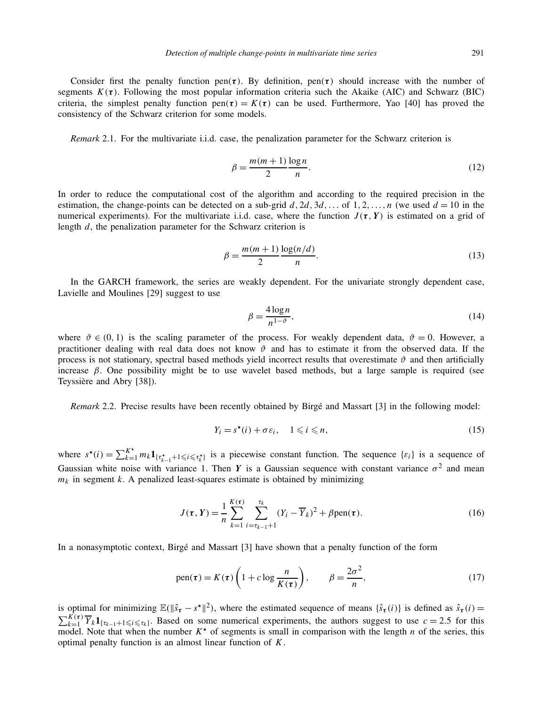Consider first the penalty function pen $(\tau)$ . By definition, pen $(\tau)$  should increase with the number of segments  $K(\tau)$ . Following the most popular information criteria such the Akaike (AIC) and Schwarz (BIC) criteria, the simplest penalty function  $pen(\tau) = K(\tau)$  can be used. Furthermore, Yao [40] has proved the consistency of the Schwarz criterion for some models.

*Remark* 2.1. For the multivariate i.i.d. case, the penalization parameter for the Schwarz criterion is

$$
\beta = \frac{m(m+1)}{2} \frac{\log n}{n}.\tag{12}
$$

In order to reduce the computational cost of the algorithm and according to the required precision in the estimation, the change-points can be detected on a sub-grid  $d$ ,  $2d$ ,  $3d$ ,..., of  $1, 2, ..., n$  (we used  $d = 10$  in the numerical experiments). For the multivariate i.i.d. case, where the function  $J(\tau, Y)$  is estimated on a grid of length *d*, the penalization parameter for the Schwarz criterion is

$$
\beta = \frac{m(m+1)}{2} \frac{\log(n/d)}{n}.
$$
\n(13)

In the GARCH framework, the series are weakly dependent. For the univariate strongly dependent case, Lavielle and Moulines [29] suggest to use

$$
\beta = \frac{4\log n}{n^{1-\vartheta}},\tag{14}
$$

where  $\vartheta \in (0,1)$  is the scaling parameter of the process. For weakly dependent data,  $\vartheta = 0$ . However, a practitioner dealing with real data does not know  $\vartheta$  and has to estimate it from the observed data. If the process is not stationary, spectral based methods yield incorrect results that overestimate  $\vartheta$  and then artificially increase  $\beta$ . One possibility might be to use wavelet based methods, but a large sample is required (see Teyssière and Abry [38]).

*Remark* 2.2. Precise results have been recently obtained by Birgé and Massart [3] in the following model:

$$
Y_i = s^\star(i) + \sigma \varepsilon_i, \quad 1 \leqslant i \leqslant n,
$$
\n<sup>(15)</sup>

where  $s^*(i) = \sum_{k=1}^{K^*} m_k \mathbf{1}_{\{\tau_{k-1}^*\} \to \{\leq i \leq \tau_{k}^*\}}$  is a piecewise constant function. The sequence  $\{\epsilon_i\}$  is a sequence of Gaussian white noise with variance 1. Then *Y* is a Gaussian sequence with constant variance  $\sigma^2$  and mean  $m_k$  in segment  $k$ . A penalized least-squares estimate is obtained by minimizing

$$
J(\tau, Y) = \frac{1}{n} \sum_{k=1}^{K(\tau)} \sum_{i=\tau_{k-1}+1}^{\tau_k} (Y_i - \overline{Y}_k)^2 + \beta \text{pen}(\tau).
$$
 (16)

In a nonasymptotic context, Birgé and Massart [3] have shown that a penalty function of the form

pen(
$$
\tau
$$
) =  $K(\tau) \left( 1 + c \log \frac{n}{K(\tau)} \right)$ ,  $\beta = \frac{2\sigma^2}{n}$ , (17)

is optimal for minimizing  $\mathbb{E}(\|\hat{s}_{\tau} - s^{\star}\|^2)$ , where the estimated sequence of means  $\{\hat{s}_{\tau}(i)\}$  is defined as  $\hat{s}_{\tau}(i)$  $\sum_{k=1}^{K(\tau)} \overline{Y}_k \mathbf{1}_{\{\tau_{k-1}+1 \leq i \leq \tau_k\}}$ . Based on some numerical experiments, the authors suggest to use  $c = 2.5$  for this model. Note that when the number  $K^*$  of segments is small in comparison with the length *n* of the series, this optimal penalty function is an almost linear function of *K*.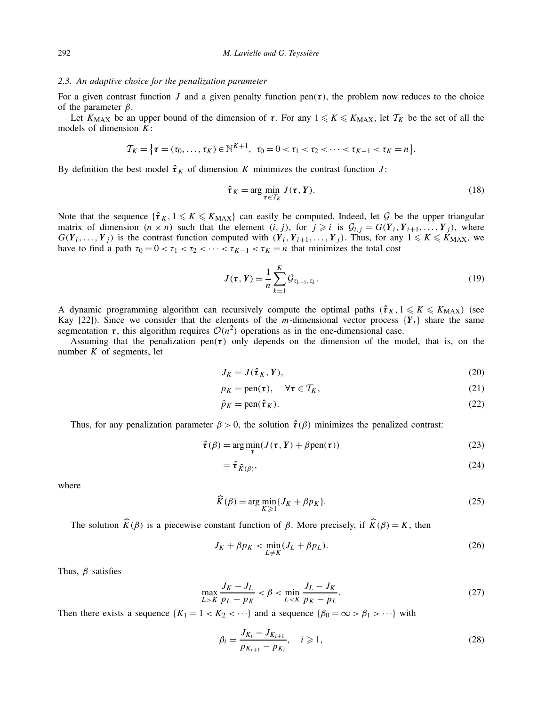#### *2.3. An adaptive choice for the penalization parameter*

For a given contrast function *J* and a given penalty function  $pen(\tau)$ , the problem now reduces to the choice of the parameter *β*.

Let  $K_{MAX}$  be an upper bound of the dimension of  $\tau$ . For any  $1 \leq K \leq K_{MAX}$ , let  $\mathcal{T}_K$  be the set of all the models of dimension *K*:

$$
\mathcal{T}_K = \{ \tau = (\tau_0, \ldots, \tau_K) \in \mathbb{N}^{K+1}, \ \tau_0 = 0 < \tau_1 < \tau_2 < \cdots < \tau_{K-1} < \tau_K = n \}.
$$

By definition the best model  $\hat{\tau}_K$  of dimension *K* minimizes the contrast function *J*:

$$
\hat{\boldsymbol{\tau}}_K = \arg\min_{\boldsymbol{\tau} \in \mathcal{T}_K} J(\boldsymbol{\tau}, \boldsymbol{Y}).
$$
\n(18)

Note that the sequence  ${\hat{\tau}}_K$ ,  $1 \leq K \leq K_{\text{MAX}}$  can easily be computed. Indeed, let G be the upper triangular matrix of dimension  $(n \times n)$  such that the element  $(i, j)$ , for  $j \ge i$  is  $\mathcal{G}_{i,j} = G(Y_i, Y_{i+1}, \ldots, Y_j)$ , where  $G(Y_i, \ldots, Y_j)$  is the contrast function computed with  $(Y_i, Y_{i+1}, \ldots, Y_j)$ . Thus, for any  $1 \leq k \leq K_{\text{MAX}}$ , we have to find a path  $\tau_0 = 0 < \tau_1 < \tau_2 < \cdots < \tau_{K-1} < \tau_K = n$  that minimizes the total cost

$$
J(\tau, Y) = \frac{1}{n} \sum_{k=1}^{K} \mathcal{G}_{\tau_{k-1}, \tau_k}.
$$
\n(19)

A dynamic programming algorithm can recursively compute the optimal paths  $(\hat{\tau}_K, 1 \leq K \leq K_{\text{MAX}})$  (see Kay [22]). Since we consider that the elements of the *m*-dimensional vector process  ${Y_t}$  share the same segmentation  $\tau$ , this algorithm requires  $O(n^2)$  operations as in the one-dimensional case.

Assuming that the penalization pen $(\tau)$  only depends on the dimension of the model, that is, on the number  $K$  of segments, let

$$
J_K = J(\hat{\boldsymbol{\tau}}_K, Y),\tag{20}
$$

$$
p_K = \text{pen}(\tau), \quad \forall \tau \in \mathcal{T}_K, \tag{21}
$$

$$
\hat{p}_K = \text{pen}(\hat{\boldsymbol{\tau}}_K). \tag{22}
$$

Thus, for any penalization parameter  $\beta > 0$ , the solution  $\hat{\tau}(\beta)$  minimizes the penalized contrast:

$$
\hat{\tau}(\beta) = \arg\min_{\tau} (J(\tau, Y) + \beta \text{pen}(\tau))
$$
\n(23)

$$
=\hat{\tau}_{\widehat{K}(\beta)},\tag{24}
$$

where

$$
\widehat{K}(\beta) = \arg\min_{K \geq 1} \{ J_K + \beta p_K \}.
$$
\n(25)

The solution  $\widehat{K}(\beta)$  is a piecewise constant function of  $\beta$ . More precisely, if  $\widehat{K}(\beta) = K$ , then

$$
J_K + \beta p_K < \min_{L \neq K} (J_L + \beta p_L). \tag{26}
$$

Thus, *β* satisfies

$$
\max_{L>K} \frac{J_K - J_L}{p_L - p_K} < \beta < \min_{L < K} \frac{J_L - J_K}{p_K - p_L}.\tag{27}
$$

Then there exists a sequence  $\{K_1 = 1 < K_2 < \cdots\}$  and a sequence  $\{\beta_0 = \infty > \beta_1 > \cdots\}$  with

$$
\beta_i = \frac{J_{K_i} - J_{K_{i+1}}}{p_{K_{i+1}} - p_{K_i}}, \quad i \ge 1,
$$
\n(28)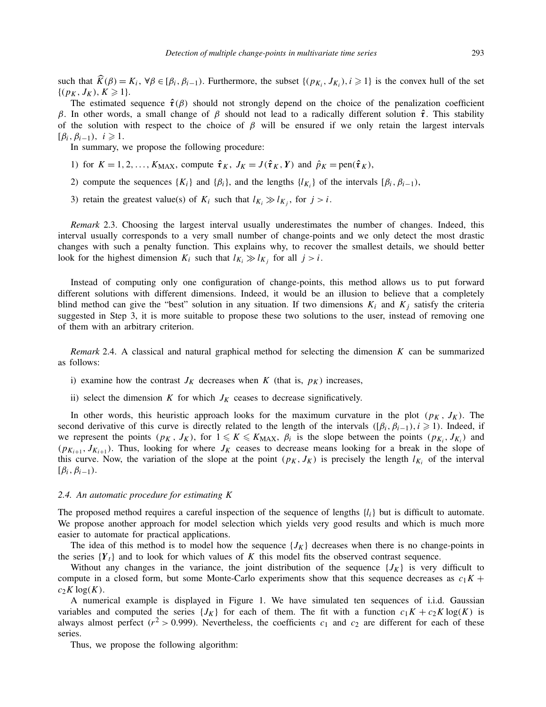such that  $\hat{K}(\beta) = K_i$ ,  $\forall \beta \in [\beta_i, \beta_{i-1})$ . Furthermore, the subset  $\{(p_{K_i}, J_{K_i}), i \ge 1\}$  is the convex hull of the set  $\{(p_K, J_K), K \geq 1\}.$ 

The estimated sequence  $\hat{\tau}(\beta)$  should not strongly depend on the choice of the penalization coefficient *β*. In other words, a small change of *β* should not lead to a radically different solution *τ***ˆ**. This stability of the solution with respect to the choice of  $\beta$  will be ensured if we only retain the largest intervals  $[\beta_i, \beta_{i-1}), i \geqslant 1.$ 

In summary, we propose the following procedure:

- 1) for  $K = 1, 2, \ldots, K_{\text{MAX}}$ , compute  $\hat{\tau}_K$ ,  $J_K = J(\hat{\tau}_K, Y)$  and  $\hat{p}_K = \text{pen}(\hat{\tau}_K)$ ,
- 2) compute the sequences  ${K_i}$  and  ${β_i}$ , and the lengths  ${l_{K_i}}$  of the intervals  $[β_i, β_{i-1})$ ,
- 3) retain the greatest value(s) of  $K_i$  such that  $l_{K_i} \gg l_{K_j}$ , for  $j > i$ .

*Remark* 2.3. Choosing the largest interval usually underestimates the number of changes. Indeed, this interval usually corresponds to a very small number of change-points and we only detect the most drastic changes with such a penalty function. This explains why, to recover the smallest details, we should better look for the highest dimension  $K_i$  such that  $l_{K_i} \gg l_{K_j}$  for all  $j > i$ .

Instead of computing only one configuration of change-points, this method allows us to put forward different solutions with different dimensions. Indeed, it would be an illusion to believe that a completely blind method can give the "best" solution in any situation. If two dimensions  $K_i$  and  $K_j$  satisfy the criteria suggested in Step 3, it is more suitable to propose these two solutions to the user, instead of removing one of them with an arbitrary criterion.

*Remark* 2.4. A classical and natural graphical method for selecting the dimension *K* can be summarized as follows:

- i) examine how the contrast  $J_K$  decreases when  $K$  (that is,  $p_K$ ) increases,
- ii) select the dimension  $K$  for which  $J_K$  ceases to decrease significatively.

In other words, this heuristic approach looks for the maximum curvature in the plot  $(p_K, J_K)$ . The second derivative of this curve is directly related to the length of the intervals  $([\beta_i, \beta_{i-1}), i \geq 1)$ . Indeed, if we represent the points  $(p_K, J_K)$ , for  $1 \leq K \leq K_{MAX}$ ,  $\beta_i$  is the slope between the points  $(p_{K_i}, J_{K_i})$  and  $(p_{K_{i+1}}, J_{K_{i+1}})$ . Thus, looking for where  $J_K$  ceases to decrease means looking for a break in the slope of this curve. Now, the variation of the slope at the point  $(p_K, J_K)$  is precisely the length  $l_{K_i}$  of the interval  $[\beta_i, \beta_{i-1}).$ 

## *2.4. An automatic procedure for estimating K*

The proposed method requires a careful inspection of the sequence of lengths  $\{l_i\}$  but is difficult to automate. We propose another approach for model selection which yields very good results and which is much more easier to automate for practical applications.

The idea of this method is to model how the sequence  ${J_K}$  decreases when there is no change-points in the series  ${Y_t}$  and to look for which values of *K* this model fits the observed contrast sequence.

Without any changes in the variance, the joint distribution of the sequence  ${J_K}$  is very difficult to compute in a closed form, but some Monte-Carlo experiments show that this sequence decreases as  $c_1K + c_2K$  $c_2 K \log(K)$ .

A numerical example is displayed in Figure 1. We have simulated ten sequences of i.i.d. Gaussian variables and computed the series  ${J_K}$  for each of them. The fit with a function  $c_1K + c_2K \log(K)$  is always almost perfect ( $r^2 > 0.999$ ). Nevertheless, the coefficients  $c_1$  and  $c_2$  are different for each of these series.

Thus, we propose the following algorithm: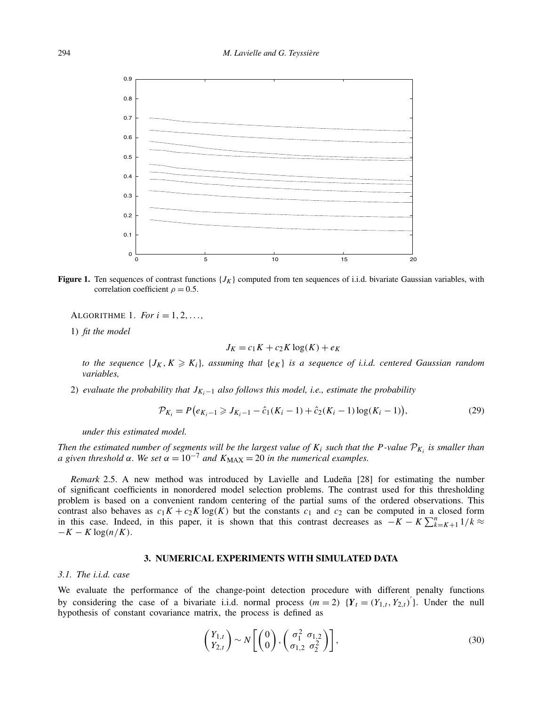

**Figure 1.** Ten sequences of contrast functions  ${J<sub>K</sub>}$  computed from ten sequences of i.i.d. bivariate Gaussian variables, with correlation coefficient  $\rho = 0.5$ .

ALGORITHME 1. *For*  $i = 1, 2, ...,$ 

1) *fit the model*

$$
J_K = c_1 K + c_2 K \log(K) + e_K
$$

to the sequence  $\{J_K, K \geqslant K_i\}$ , assuming that  $\{e_K\}$  is a sequence of i.i.d. centered Gaussian random *variables,*

2) *evaluate the probability that JKi*<sup>−</sup><sup>1</sup> *also follows this model, i.e., estimate the probability*

$$
\mathcal{P}_{K_i} = P(e_{K_i-1} \geqslant J_{K_i-1} - \hat{c}_1(K_i-1) + \hat{c}_2(K_i-1)\log(K_i-1)),\tag{29}
$$

*under this estimated model.*

*Then the estimated number of segments will be the largest value of*  $K_i$  *such that the P-value*  $\mathcal{P}_{K_i}$  *is smaller than a* given threshold  $\alpha$ . We set  $\alpha = 10^{-7}$  and  $K_{\text{MAX}} = 20$  in the numerical examples.

*Remark* 2.5. A new method was introduced by Lavielle and Ludeña [28] for estimating the number of significant coefficients in nonordered model selection problems. The contrast used for this thresholding problem is based on a convenient random centering of the partial sums of the ordered observations. This contrast also behaves as  $c_1K + c_2K \log(K)$  but the constants  $c_1$  and  $c_2$  can be computed in a closed form in this case. Indeed, in this paper, it is shown that this contrast decreases as  $-K - K\sum_{k=K+1}^{n}1/k \approx$  $-K - K \log(n/K)$ .

# **3. NUMERICAL EXPERIMENTS WITH SIMULATED DATA**

#### *3.1. The i.i.d. case*

We evaluate the performance of the change-point detection procedure with different penalty functions by considering the case of a bivariate i.i.d. normal process  $(m = 2)$   $\{Y_t = (Y_{1,t}, Y_{2,t})\}$ . Under the null hypothesis of constant covariance matrix, the process is defined as

$$
\begin{pmatrix} Y_{1,t} \\ Y_{2,t} \end{pmatrix} \sim N \left[ \begin{pmatrix} 0 \\ 0 \end{pmatrix}, \begin{pmatrix} \sigma_1^2 & \sigma_{1,2} \\ \sigma_{1,2} & \sigma_2^2 \end{pmatrix} \right],
$$
\n(30)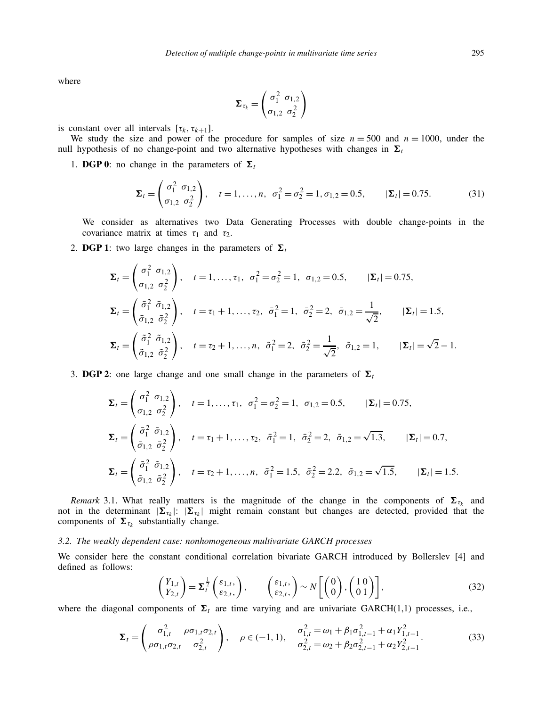where

$$
\boldsymbol{\Sigma}_{\tau_k} = \begin{pmatrix} \sigma_1^2 & \sigma_{1,2} \\ \sigma_{1,2} & \sigma_2^2 \end{pmatrix}
$$

is constant over all intervals  $[\tau_k, \tau_{k+1}].$ 

We study the size and power of the procedure for samples of size  $n = 500$  and  $n = 1000$ , under the null hypothesis of no change-point and two alternative hypotheses with changes in  $\Sigma_t$ 

1. **DGP 0**: no change in the parameters of  $\Sigma_t$ 

$$
\Sigma_t = \begin{pmatrix} \sigma_1^2 & \sigma_{1,2} \\ \sigma_{1,2} & \sigma_2^2 \end{pmatrix}, \quad t = 1, \dots, n, \quad \sigma_1^2 = \sigma_2^2 = 1, \sigma_{1,2} = 0.5, \qquad |\Sigma_t| = 0.75.
$$
 (31)

We consider as alternatives two Data Generating Processes with double change-points in the covariance matrix at times  $\tau_1$  and  $\tau_2$ .

2. **DGP 1**: two large changes in the parameters of  $\Sigma_t$ 

$$
\Sigma_{t} = \begin{pmatrix} \sigma_{1}^{2} & \sigma_{1,2} \\ \sigma_{1,2} & \sigma_{2}^{2} \end{pmatrix}, \quad t = 1, ..., \tau_{1}, \quad \sigma_{1}^{2} = \sigma_{2}^{2} = 1, \quad \sigma_{1,2} = 0.5, \qquad |\Sigma_{t}| = 0.75,
$$
  
\n
$$
\Sigma_{t} = \begin{pmatrix} \bar{\sigma}_{1}^{2} & \bar{\sigma}_{1,2} \\ \bar{\sigma}_{1,2} & \bar{\sigma}_{2}^{2} \end{pmatrix}, \quad t = \tau_{1} + 1, ..., \tau_{2}, \quad \bar{\sigma}_{1}^{2} = 1, \quad \bar{\sigma}_{2}^{2} = 2, \quad \bar{\sigma}_{1,2} = \frac{1}{\sqrt{2}}, \qquad |\Sigma_{t}| = 1.5,
$$
  
\n
$$
\Sigma_{t} = \begin{pmatrix} \tilde{\sigma}_{1}^{2} & \tilde{\sigma}_{1,2} \\ \tilde{\sigma}_{1,2} & \tilde{\sigma}_{2}^{2} \end{pmatrix}, \quad t = \tau_{2} + 1, ..., n, \quad \tilde{\sigma}_{1}^{2} = 2, \quad \tilde{\sigma}_{2}^{2} = \frac{1}{\sqrt{2}}, \quad \tilde{\sigma}_{1,2} = 1, \qquad |\Sigma_{t}| = \sqrt{2} - 1.
$$

3. **DGP 2**: one large change and one small change in the parameters of  $\Sigma_t$ 

$$
\Sigma_{t} = \begin{pmatrix} \sigma_{1}^{2} & \sigma_{1,2} \\ \sigma_{1,2} & \sigma_{2}^{2} \end{pmatrix}, \quad t = 1, ..., \tau_{1}, \quad \sigma_{1}^{2} = \sigma_{2}^{2} = 1, \quad \sigma_{1,2} = 0.5, \qquad |\Sigma_{t}| = 0.75,
$$
  
\n
$$
\Sigma_{t} = \begin{pmatrix} \bar{\sigma}_{1}^{2} & \bar{\sigma}_{1,2} \\ \bar{\sigma}_{1,2} & \bar{\sigma}_{2}^{2} \end{pmatrix}, \quad t = \tau_{1} + 1, ..., \tau_{2}, \quad \bar{\sigma}_{1}^{2} = 1, \quad \bar{\sigma}_{2}^{2} = 2, \quad \bar{\sigma}_{1,2} = \sqrt{1.3}, \qquad |\Sigma_{t}| = 0.7,
$$
  
\n
$$
\Sigma_{t} = \begin{pmatrix} \tilde{\sigma}_{1}^{2} & \tilde{\sigma}_{1,2} \\ \tilde{\sigma}_{1,2} & \tilde{\sigma}_{2}^{2} \end{pmatrix}, \quad t = \tau_{2} + 1, ..., n, \quad \tilde{\sigma}_{1}^{2} = 1.5, \quad \tilde{\sigma}_{2}^{2} = 2.2, \quad \tilde{\sigma}_{1,2} = \sqrt{1.5}, \qquad |\Sigma_{t}| = 1.5.
$$

*Remark* 3.1. What really matters is the magnitude of the change in the components of  $\Sigma_{\tau_k}$  and not in the determinant  $|\mathbf{\Sigma}_{\tau_k}|: |\mathbf{\Sigma}_{\tau_k}|$  might remain constant but changes are detected, provided that the components of  $\Sigma_{\tau_k}$  substantially change.

#### *3.2. The weakly dependent case: nonhomogeneous multivariate GARCH processes*

We consider here the constant conditional correlation bivariate GARCH introduced by Bollerslev [4] and defined as follows:

$$
\begin{pmatrix} Y_{1,t} \\ Y_{2,t} \end{pmatrix} = \Sigma_t^{\frac{1}{2}} \begin{pmatrix} \varepsilon_{1,t}, \\ \varepsilon_{2,t}, \end{pmatrix}, \qquad \begin{pmatrix} \varepsilon_{1,t}, \\ \varepsilon_{2,t}, \end{pmatrix} \sim N \begin{bmatrix} \begin{pmatrix} 0 \\ 0 \end{pmatrix}, \begin{pmatrix} 1 & 0 \\ 0 & 1 \end{pmatrix} \end{bmatrix}, \qquad (32)
$$

where the diagonal components of  $\Sigma_t$  are time varying and are univariate GARCH(1,1) processes, i.e.,

$$
\Sigma_{t} = \begin{pmatrix} \sigma_{1,t}^{2} & \rho \sigma_{1,t} \sigma_{2,t} \\ \rho \sigma_{1,t} \sigma_{2,t} & \sigma_{2,t}^{2} \end{pmatrix}, \quad \rho \in (-1, 1), \quad \frac{\sigma_{1,t}^{2} = \omega_{1} + \beta_{1} \sigma_{1,t-1}^{2} + \alpha_{1} Y_{1,t-1}^{2}}{\sigma_{2,t}^{2} = \omega_{2} + \beta_{2} \sigma_{2,t-1}^{2} + \alpha_{2} Y_{2,t-1}^{2}}.
$$
(33)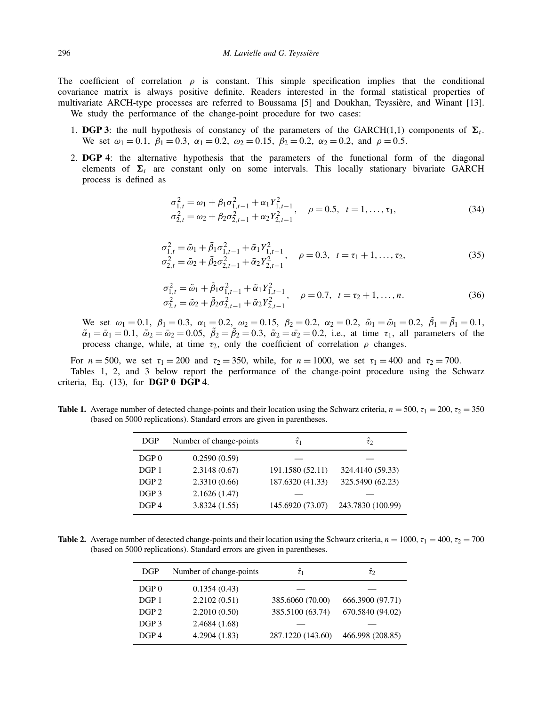The coefficient of correlation  $\rho$  is constant. This simple specification implies that the conditional covariance matrix is always positive definite. Readers interested in the formal statistical properties of multivariate ARCH-type processes are referred to Boussama [5] and Doukhan, Teyssière, and Winant [13]. We study the performance of the change-point procedure for two cases:

- 1. **DGP 3**: the null hypothesis of constancy of the parameters of the GARCH(1,1) components of  $\Sigma_t$ . We set  $\omega_1 = 0.1$ ,  $\beta_1 = 0.3$ ,  $\alpha_1 = 0.2$ ,  $\omega_2 = 0.15$ ,  $\beta_2 = 0.2$ ,  $\alpha_2 = 0.2$ , and  $\rho = 0.5$ .
- 2. **DGP 4**: the alternative hypothesis that the parameters of the functional form of the diagonal elements of  $\Sigma_t$  are constant only on some intervals. This locally stationary bivariate GARCH process is defined as

$$
\sigma_{1,t}^2 = \omega_1 + \beta_1 \sigma_{1,t-1}^2 + \alpha_1 Y_{1,t-1}^2, \quad \rho = 0.5, \quad t = 1, \dots, \tau_1,
$$
  
\n
$$
\sigma_{2,t}^2 = \omega_2 + \beta_2 \sigma_{2,t-1}^2 + \alpha_2 Y_{2,t-1}^2
$$
\n(34)

$$
\sigma_{1,t}^2 = \bar{\omega}_1 + \bar{\beta}_1 \sigma_{1,t-1}^2 + \bar{\alpha}_1 Y_{1,t-1}^2, \quad \rho = 0.3, \ t = \tau_1 + 1, \dots, \tau_2, \n\sigma_{2,t}^2 = \bar{\omega}_2 + \bar{\beta}_2 \sigma_{2,t-1}^2 + \bar{\alpha}_2 Y_{2,t-1}^2,
$$
\n(35)

$$
\sigma_{1,t}^2 = \tilde{\omega}_1 + \tilde{\beta}_1 \sigma_{1,t-1}^2 + \tilde{\alpha}_1 Y_{1,t-1}^2, \quad \rho = 0.7, \ t = \tau_2 + 1, ..., n.
$$
\n
$$
\sigma_{2,t}^2 = \tilde{\omega}_2 + \tilde{\beta}_2 \sigma_{2,t-1}^2 + \tilde{\alpha}_2 Y_{2,t-1}^2, \quad \rho = 0.7, \ t = \tau_2 + 1, ..., n.
$$
\n(36)

We set  $\omega_1 = 0.1$ ,  $\beta_1 = 0.3$ ,  $\alpha_1 = 0.2$ ,  $\omega_2 = 0.15$ ,  $\beta_2 = 0.2$ ,  $\alpha_2 = 0.2$ ,  $\tilde{\omega}_1 = \bar{\omega}_1 = 0.2$ ,  $\tilde{\beta}_1 = \bar{\beta}_1 = 0.1$ ,  $\tilde{\alpha}_1 = \bar{\alpha}_1 = 0.1$ ,  $\tilde{\omega}_2 = \bar{\omega}_2 = 0.05$ ,  $\tilde{\beta}_2 = \bar{\beta}_2 = 0.3$ ,  $\tilde{\alpha}_2 = \bar{\alpha}_2 = 0.2$ , i.e., at time  $\tau_1$ , all parameters of the process change, while, at time  $\tau_2$ , only the coefficient of correlation  $\rho$  changes.

For  $n = 500$ , we set  $\tau_1 = 200$  and  $\tau_2 = 350$ , while, for  $n = 1000$ , we set  $\tau_1 = 400$  and  $\tau_2 = 700$ . Tables 1, 2, and 3 below report the performance of the change-point procedure using the Schwarz criteria, Eq. (13), for **DGP 0**–**DGP 4**.

**Table 1.** Average number of detected change-points and their location using the Schwarz criteria,  $n = 500$ ,  $\tau_1 = 200$ ,  $\tau_2 = 350$ (based on 5000 replications). Standard errors are given in parentheses.

| <b>DGP</b>       | Number of change-points | $\hat{\tau}_1$   | $\hat{\tau}$      |
|------------------|-------------------------|------------------|-------------------|
| DGP <sub>0</sub> | 0.2590(0.59)            |                  |                   |
| DGP <sub>1</sub> | 2.3148(0.67)            | 191.1580 (52.11) | 324.4140 (59.33)  |
| DGP <sub>2</sub> | 2.3310(0.66)            | 187.6320 (41.33) | 325.5490 (62.23)  |
| DGP <sub>3</sub> | 2.1626(1.47)            |                  |                   |
| DGP 4            | 3.8324(1.55)            | 145.6920 (73.07) | 243.7830 (100.99) |

**Table 2.** Average number of detected change-points and their location using the Schwarz criteria,  $n = 1000$ ,  $\tau_1 = 400$ ,  $\tau_2 = 700$ (based on 5000 replications). Standard errors are given in parentheses.

| <b>DGP</b>       | Number of change-points | $\hat{\tau}_1$    | $\hat{\tau}$     |
|------------------|-------------------------|-------------------|------------------|
| DGP <sub>0</sub> | 0.1354(0.43)            |                   |                  |
| DGP <sub>1</sub> | 2.2102(0.51)            | 385.6060 (70.00)  | 666.3900 (97.71) |
| DGP <sub>2</sub> | 2.2010(0.50)            | 385.5100 (63.74)  | 670.5840 (94.02) |
| DGP <sub>3</sub> | 2.4684(1.68)            |                   |                  |
| DGP 4            | 4.2904(1.83)            | 287.1220 (143.60) | 466.998 (208.85) |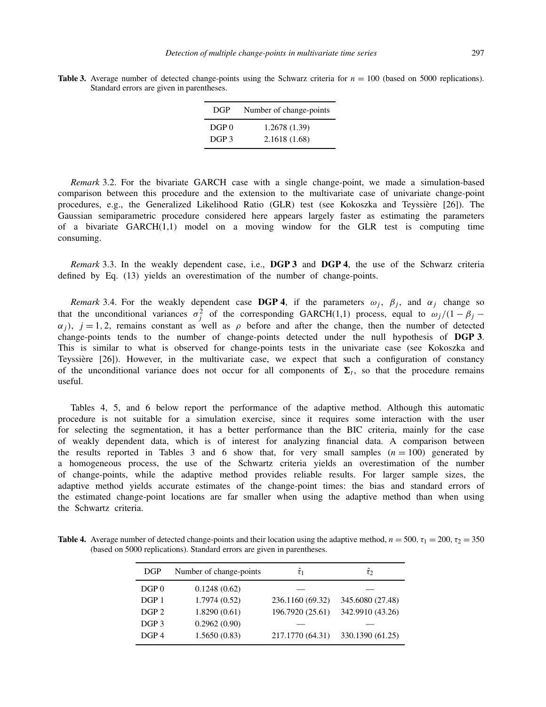| DGP              | Number of change-points |  |
|------------------|-------------------------|--|
| $DGP$ $0$        | 1.2678 (1.39)           |  |
| DGP <sub>3</sub> | 2.1618(1.68)            |  |

**Table 3.** Average number of detected change-points using the Schwarz criteria for  $n = 100$  (based on 5000 replications). Standard errors are given in parentheses.

*Remark* 3.2. For the bivariate GARCH case with a single change-point, we made a simulation-based comparison between this procedure and the extension to the multivariate case of univariate change-point procedures, e.g., the Generalized Likelihood Ratio (GLR) test (see Kokoszka and Teyssière [26]). The Gaussian semiparametric procedure considered here appears largely faster as estimating the parameters of a bivariate GARCH(1,1) model on a moving window for the GLR test is computing time consuming.

*Remark* 3.3. In the weakly dependent case, i.e., **DGP 3** and **DGP 4**, the use of the Schwarz criteria defined by Eq. (13) yields an overestimation of the number of change-points.

*Remark* 3.4. For the weakly dependent case **DGP 4**, if the parameters  $\omega_j$ ,  $\beta_j$ , and  $\alpha_j$  change so that the unconditional variances  $\sigma_j^2$  of the corresponding GARCH(1,1) process, equal to  $\omega_j/(1-\beta_j \alpha_j$ ,  $j = 1, 2$ , remains constant as well as  $\rho$  before and after the change, then the number of detected change-points tends to the number of change-points detected under the null hypothesis of **DGP 3**. This is similar to what is observed for change-points tests in the univariate case (see Kokoszka and Teyssière [26]). However, in the multivariate case, we expect that such a configuration of constancy of the unconditional variance does not occur for all components of  $\Sigma_t$ , so that the procedure remains useful.

Tables 4, 5, and 6 below report the performance of the adaptive method. Although this automatic procedure is not suitable for a simulation exercise, since it requires some interaction with the user for selecting the segmentation, it has a better performance than the BIC criteria, mainly for the case of weakly dependent data, which is of interest for analyzing financial data. A comparison between the results reported in Tables 3 and 6 show that, for very small samples  $(n = 100)$  generated by a homogeneous process, the use of the Schwartz criteria yields an overestimation of the number of change-points, while the adaptive method provides reliable results. For larger sample sizes, the adaptive method yields accurate estimates of the change-point times: the bias and standard errors of the estimated change-point locations are far smaller when using the adaptive method than when using the Schwartz criteria.

**Table 4.** Average number of detected change-points and their location using the adaptive method,  $n = 500$ ,  $\tau_1 = 200$ ,  $\tau_2 = 350$ (based on 5000 replications). Standard errors are given in parentheses.

| <b>DGP</b>       | Number of change-points | $\hat{\tau}_1$   | $\hat{\tau}_2$   |
|------------------|-------------------------|------------------|------------------|
| DGP <sub>0</sub> | 0.1248(0.62)            |                  |                  |
| DGP <sub>1</sub> | 1.7974(0.52)            | 236.1160 (69.32) | 345.6080 (27.48) |
| DGP <sub>2</sub> | 1.8290(0.61)            | 196.7920 (25.61) | 342.9910 (43.26) |
| DGP <sub>3</sub> | 0.2962(0.90)            |                  |                  |
| DGP 4            | 1.5650(0.83)            | 217.1770 (64.31) | 330.1390 (61.25) |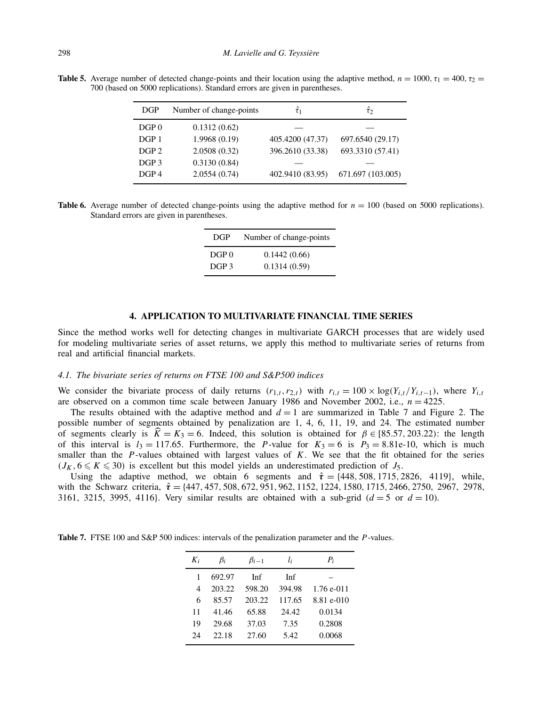**Table 5.** Average number of detected change-points and their location using the adaptive method,  $n = 1000$ ,  $\tau_1 = 400$ ,  $\tau_2 =$ 700 (based on 5000 replications). Standard errors are given in parentheses.

| <b>DGP</b>       | Number of change-points | $\hat{\tau}_1$   | $\hat{\tau}$      |
|------------------|-------------------------|------------------|-------------------|
| DGP <sub>0</sub> | 0.1312(0.62)            |                  |                   |
| DGP 1            | 1.9968(0.19)            | 405.4200 (47.37) | 697.6540 (29.17)  |
| DGP <sub>2</sub> | 2.0508(0.32)            | 396.2610 (33.38) | 693.3310 (57.41)  |
| DGP <sub>3</sub> | 0.3130(0.84)            |                  |                   |
| DGP <sub>4</sub> | 2.0554(0.74)            | 402.9410 (83.95) | 671.697 (103.005) |

**Table 6.** Average number of detected change-points using the adaptive method for  $n = 100$  (based on 5000 replications). Standard errors are given in parentheses.

| DGP              | Number of change-points |  |
|------------------|-------------------------|--|
| DGP <sub>0</sub> | 0.1442(0.66)            |  |
| DGP <sub>3</sub> | 0.1314(0.59)            |  |

## **4. APPLICATION TO MULTIVARIATE FINANCIAL TIME SERIES**

Since the method works well for detecting changes in multivariate GARCH processes that are widely used for modeling multivariate series of asset returns, we apply this method to multivariate series of returns from real and artificial financial markets.

## *4.1. The bivariate series of returns on FTSE 100 and S&P500 indices*

We consider the bivariate process of daily returns  $(r_{1,t}, r_{2,t})$  with  $r_{i,t} = 100 \times \log(Y_{i,t}/Y_{i,t-1})$ , where  $Y_{i,t}$ are observed on a common time scale between January 1986 and November 2002, i.e.,  $n = 4225$ .

The results obtained with the adaptive method and  $d = 1$  are summarized in Table 7 and Figure 2. The possible number of segments obtained by penalization are 1, 4, 6, 11, 19, and 24. The estimated number of segments clearly is  $\hat{K} = K_3 = 6$ . Indeed, this solution is obtained for  $\beta \in [85.57, 203.22)$ : the length of this interval is  $l_3 = 117.65$ . Furthermore, the *P*-value for  $K_3 = 6$  is  $P_3 = 8.81e-10$ , which is much smaller than the *P*-values obtained with largest values of *K*. We see that the fit obtained for the series  $(J_K, 6 \leq K \leq 30)$  is excellent but this model yields an underestimated prediction of  $J_5$ .

Using the adaptive method, we obtain 6 segments and  $\hat{\tau} = \{448, 508, 1715, 2826, 4119\}$ , while, with the Schwarz criteria, *τ*ˆ = {447*,* 457*,* 508*,* 672*,* 951*,* 962*,* 1152*,* 1224*,* 1580*,* 1715*,* 2466*,* 2750, 2967, 2978, 3161, 3215, 3995, 4116}. Very similar results are obtained with a sub-grid  $(d = 5 \text{ or } d = 10)$ .

| K, | $\beta_i$ | $\beta_{i-1}$ | $l_i$  | $P_i$        |
|----|-----------|---------------|--------|--------------|
|    | 692.97    | Inf           | Inf    |              |
| 4  | 203.22    | 598.20        | 394.98 | $1.76$ e-011 |
| 6  | 85.57     | 203.22        | 117.65 | 8.81 e-010   |
| 11 | 41.46     | 65.88         | 24.42  | 0.0134       |
| 19 | 29.68     | 37.03         | 7.35   | 0.2808       |
| 24 | 22.18     | 27.60         | 5.42   | 0.0068       |

**Table 7.** FTSE 100 and S&P 500 indices: intervals of the penalization parameter and the *P* -values.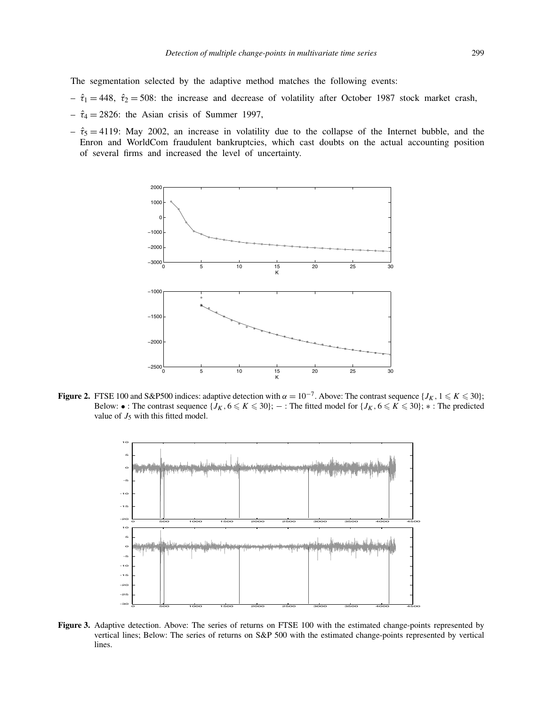The segmentation selected by the adaptive method matches the following events:

- $-\hat{\tau}_1 = 448$ ,  $\hat{\tau}_2 = 508$ : the increase and decrease of volatility after October 1987 stock market crash,
- $-\hat{\tau}_4 = 2826$ : the Asian crisis of Summer 1997,
- $-\hat{\tau}_5 = 4119$ : May 2002, an increase in volatility due to the collapse of the Internet bubble, and the Enron and WorldCom fraudulent bankruptcies, which cast doubts on the actual accounting position of several firms and increased the level of uncertainty.



**Figure 2.** FTSE 100 and S&P500 indices: adaptive detection with  $\alpha = 10^{-7}$ . Above: The contrast sequence {*J<sub>K</sub>*, 1  $\le K \le 30$ }; Below: • : The contrast sequence  $\{J_K, 6 \leq K \leq 30\}$ ;  $-$  : The fitted model for  $\{J_K, 6 \leq K \leq 30\}$ ;  $*$  : The predicted value of  $J_5$  with this fitted model.



**Figure 3.** Adaptive detection. Above: The series of returns on FTSE 100 with the estimated change-points represented by vertical lines; Below: The series of returns on S&P 500 with the estimated change-points represented by vertical lines.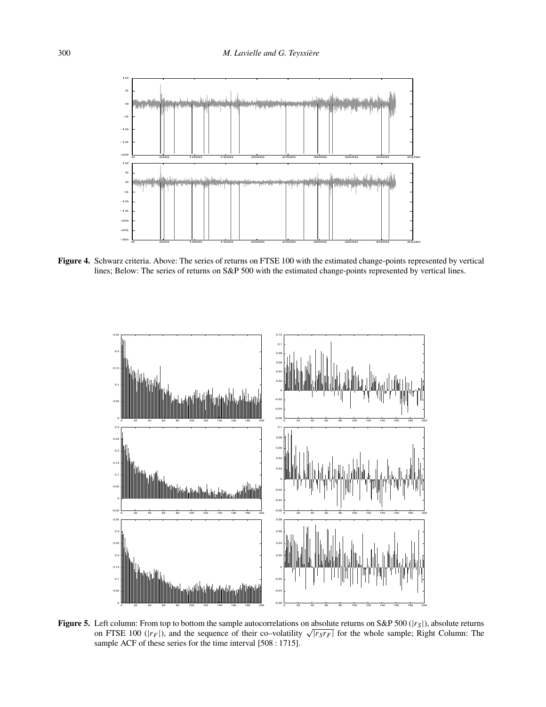

**Figure 4.** Schwarz criteria. Above: The series of returns on FTSE 100 with the estimated change-points represented by vertical lines; Below: The series of returns on S&P 500 with the estimated change-points represented by vertical lines.



**Figure 5.** Left column: From top to bottom the sample autocorrelations on absolute returns on S&P 500 (|*r<sub>S</sub>*|), absolute returns on FTSE 100 ( $|r_F|$ ), and the sequence of their co–volatility  $\sqrt{|r_S r_F|}$  for the whole sample; Right Column: The sample ACF of these series for the time interval [508 : 1715].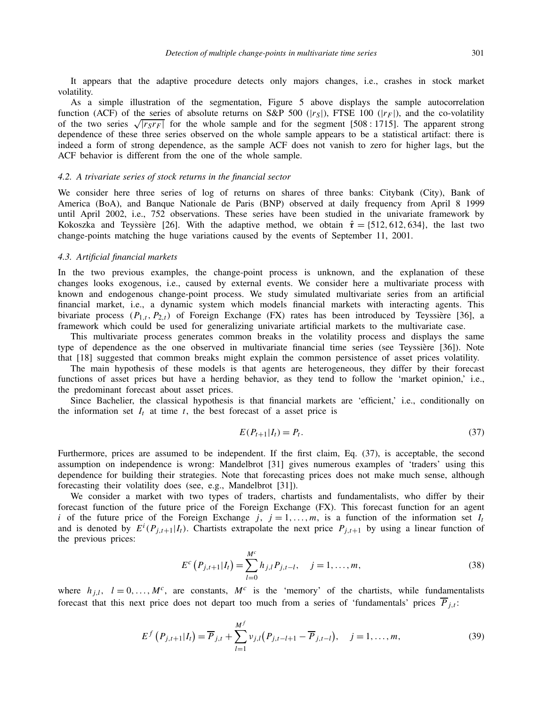It appears that the adaptive procedure detects only majors changes, i.e., crashes in stock market volatility.

As a simple illustration of the segmentation, Figure 5 above displays the sample autocorrelation function (ACF) of the series of absolute returns on S&P 500 ( $|r<sub>S</sub>|$ ), FTSE 100 ( $|r<sub>F</sub>|$ ), and the co-volatility of the two series  $\sqrt{r_S r_F}$  for the whole sample and for the segment [508 : 1715]. The apparent strong dependence of these three series observed on the whole sample appears to be a statistical artifact: there is indeed a form of strong dependence, as the sample ACF does not vanish to zero for higher lags, but the ACF behavior is different from the one of the whole sample.

## *4.2. A trivariate series of stock returns in the financial sector*

We consider here three series of log of returns on shares of three banks: Citybank (City), Bank of America (BoA), and Banque Nationale de Paris (BNP) observed at daily frequency from April 8 1999 until April 2002, i.e., 752 observations. These series have been studied in the univariate framework by Kokoszka and Teyssière [26]. With the adaptive method, we obtain  $\hat{\tau} = \{512, 612, 634\}$ , the last two change-points matching the huge variations caused by the events of September 11, 2001.

#### *4.3. Artificial financial markets*

In the two previous examples, the change-point process is unknown, and the explanation of these changes looks exogenous, i.e., caused by external events. We consider here a multivariate process with known and endogenous change-point process. We study simulated multivariate series from an artificial financial market, i.e., a dynamic system which models financial markets with interacting agents. This bivariate process  $(P_{1,t}, P_{2,t})$  of Foreign Exchange (FX) rates has been introduced by Teyssière [36], a framework which could be used for generalizing univariate artificial markets to the multivariate case.

This multivariate process generates common breaks in the volatility process and displays the same type of dependence as the one observed in multivariate financial time series (see Teyssière [36]). Note that [18] suggested that common breaks might explain the common persistence of asset prices volatility.

The main hypothesis of these models is that agents are heterogeneous, they differ by their forecast functions of asset prices but have a herding behavior, as they tend to follow the 'market opinion,' i.e., the predominant forecast about asset prices.

Since Bachelier, the classical hypothesis is that financial markets are 'efficient,' i.e., conditionally on the information set  $I_t$  at time  $t$ , the best forecast of a asset price is

$$
E(P_{t+1}|I_t) = P_t. \tag{37}
$$

Furthermore, prices are assumed to be independent. If the first claim, Eq. (37), is acceptable, the second assumption on independence is wrong: Mandelbrot [31] gives numerous examples of 'traders' using this dependence for building their strategies. Note that forecasting prices does not make much sense, although forecasting their volatility does (see, e.g., Mandelbrot [31]).

We consider a market with two types of traders, chartists and fundamentalists, who differ by their forecast function of the future price of the Foreign Exchange (FX). This forecast function for an agent *i* of the future price of the Foreign Exchange *j*,  $j = 1, \ldots, m$ , is a function of the information set  $I_t$ and is denoted by  $E^{i}(P_{j,t+1}|I_t)$ . Chartists extrapolate the next price  $P_{j,t+1}$  by using a linear function of the previous prices:

$$
E^{c}\left(P_{j,t+1}|I_{t}\right) = \sum_{l=0}^{M^{c}} h_{j,l} P_{j,t-l}, \quad j = 1, \dots, m,
$$
\n(38)

where  $h_{j,l}$ ,  $l = 0, ..., M^c$ , are constants,  $M^c$  is the 'memory' of the chartists, while fundamentalists forecast that this next price does not depart too much from a series of 'fundamentals' prices  $\overline{P}_{j,t}$ :

$$
E^{f}(P_{j,t+1}|I_{t}) = \overline{P}_{j,t} + \sum_{l=1}^{M^{f}} \nu_{j,l}(P_{j,t-l+1} - \overline{P}_{j,t-l}), \quad j = 1, ..., m,
$$
 (39)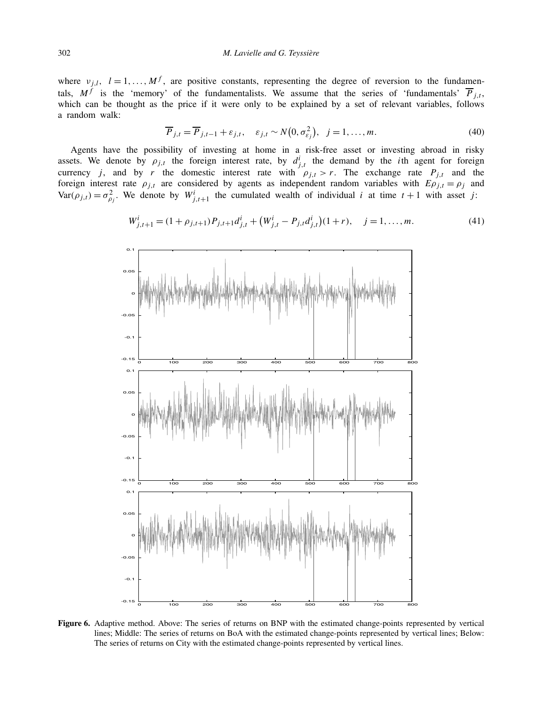where  $v_{j,l}$ ,  $l = 1, ..., M<sup>f</sup>$ , are positive constants, representing the degree of reversion to the fundamentals,  $M<sup>f</sup>$  is the 'memory' of the fundamentalists. We assume that the series of 'fundamentals'  $\overline{P}_{i,t}$ , which can be thought as the price if it were only to be explained by a set of relevant variables, follows a random walk:

$$
\overline{P}_{j,t} = \overline{P}_{j,t-1} + \varepsilon_{j,t}, \quad \varepsilon_{j,t} \sim N\big(0, \sigma_{\varepsilon_j}^2\big), \quad j = 1, \dots, m. \tag{40}
$$

Agents have the possibility of investing at home in a risk-free asset or investing abroad in risky assets. We denote by  $\rho_{j,t}$  the foreign interest rate, by  $d^i_{j,t}$  the demand by the *i*th agent for foreign currency *j*, and by *r* the domestic interest rate with  $\rho_{j,t} > r$ . The exchange rate  $P_{j,t}$  and the foreign interest rate  $\rho_{j,t}$  are considered by agents as independent random variables with  $E\rho_{j,t} = \rho_j$  and  $Var(\rho_{j,t}) = \sigma_{\rho_j}^2$ . We denote by  $W^i_{j,t+1}$  the cumulated wealth of individual *i* at time  $t+1$  with asset *j*:

$$
W_{j,t+1}^i = (1 + \rho_{j,t+1}) P_{j,t+1} d_{j,t}^i + (W_{j,t}^i - P_{j,t} d_{j,t}^i)(1+r), \quad j = 1, ..., m.
$$
 (41)



**Figure 6.** Adaptive method. Above: The series of returns on BNP with the estimated change-points represented by vertical lines; Middle: The series of returns on BoA with the estimated change-points represented by vertical lines; Below: The series of returns on City with the estimated change-points represented by vertical lines.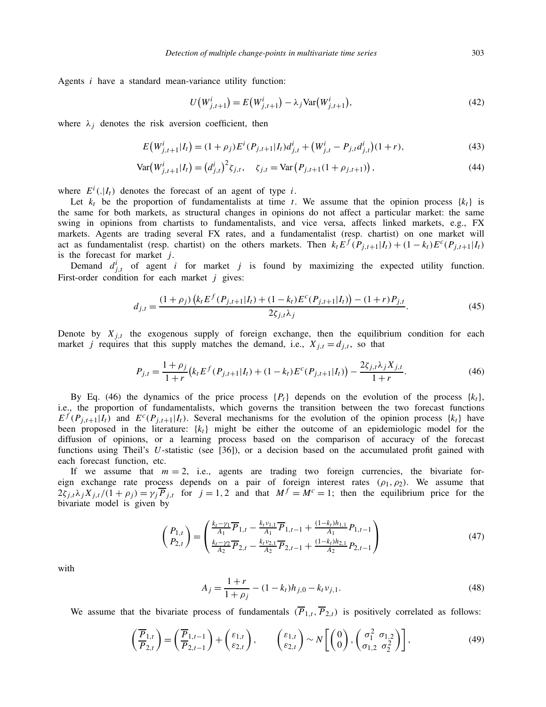Agents *i* have a standard mean-variance utility function:

$$
U(W^{i}_{j,t+1}) = E(W^{i}_{j,t+1}) - \lambda_j \text{Var}(W^{i}_{j,t+1}),
$$
\n(42)

where  $\lambda_i$  denotes the risk aversion coefficient, then

$$
E\big(W_{j,t+1}^i|I_t\big) = (1+\rho_j)E^i(P_{j,t+1}|I_t)d_{j,t}^i + \big(W_{j,t}^i - P_{j,t}d_{j,t}^i\big)(1+r),\tag{43}
$$

$$
Var(W_{j,t+1}^i|I_t) = (d_{j,t}^i)^2 \zeta_{j,t}, \quad \zeta_{j,t} = Var(P_{j,t+1}(1+\rho_{j,t+1})), \tag{44}
$$

where  $E^i(.|I_t)$  denotes the forecast of an agent of type *i*.

Let  $k_t$  be the proportion of fundamentalists at time *t*. We assume that the opinion process  $\{k_t\}$  is the same for both markets, as structural changes in opinions do not affect a particular market: the same swing in opinions from chartists to fundamentalists, and vice versa, affects linked markets, e.g., FX markets. Agents are trading several FX rates, and a fundamentalist (resp. chartist) on one market will act as fundamentalist (resp. chartist) on the others markets. Then  $k_t E^f(P_{j,t+1}|I_t) + (1 - k_t)E^c(P_{j,t+1}|I_t)$ is the forecast for market *j*.

Demand  $d_{j,t}^i$  of agent *i* for market *j* is found by maximizing the expected utility function. First-order condition for each market *j* gives:

$$
d_{j,t} = \frac{(1+\rho_j)\left(k_t E^f(P_{j,t+1}|I_t) + (1-k_t)E^c(P_{j,t+1}|I_t)\right) - (1+r)P_{j,t}}{2\zeta_{j,t}\lambda_j}.
$$
\n(45)

Denote by  $X_{i,t}$  the exogenous supply of foreign exchange, then the equilibrium condition for each market *j* requires that this supply matches the demand, i.e.,  $X_{j,t} = d_{j,t}$ , so that

$$
P_{j,t} = \frac{1+\rho_j}{1+r} \left( k_t E^f(P_{j,t+1}|I_t) + (1-k_t) E^c(P_{j,t+1}|I_t) \right) - \frac{2\zeta_{j,t} \lambda_j X_{j,t}}{1+r}.
$$
\n(46)

By Eq. (46) the dynamics of the price process  ${P_t}$  depends on the evolution of the process  ${k_t}$ , i.e., the proportion of fundamentalists, which governs the transition between the two forecast functions  $E^f(P_{i,t+1}|I_t)$  and  $E^c(P_{i,t+1}|I_t)$ . Several mechanisms for the evolution of the opinion process  $\{k_t\}$  have been proposed in the literature:  $\{k_t\}$  might be either the outcome of an epidemiologic model for the diffusion of opinions, or a learning process based on the comparison of accuracy of the forecast functions using Theil's *U*-statistic (see [36]), or a decision based on the accumulated profit gained with each forecast function, etc.

If we assume that  $m = 2$ , i.e., agents are trading two foreign currencies, the bivariate foreign exchange rate process depends on a pair of foreign interest rates  $(\rho_1, \rho_2)$ . We assume that  $2\zeta_{j,t}\lambda_jX_{j,t}/(1+\rho_j)=\gamma_j\overline{P}_{j,t}$  for  $j=1,2$  and that  $M^f=M^c=1$ ; then the equilibrium price for the bivariate model is given by

$$
\begin{pmatrix} P_{1,t} \\ P_{2,t} \end{pmatrix} = \begin{pmatrix} \frac{k_t - \gamma_1}{A_1} \overline{P}_{1,t} - \frac{k_t v_{1,1}}{A_1} \overline{P}_{1,t-1} + \frac{(1 - k_t)h_{1,1}}{A_1} P_{1,t-1} \\ \frac{k_t - \gamma_2}{A_2} \overline{P}_{2,t} - \frac{k_t v_{2,1}}{A_2} \overline{P}_{2,t-1} + \frac{(1 - k_t)h_{2,1}}{A_2} P_{2,t-1} \end{pmatrix}
$$
(47)

with

$$
A_j = \frac{1+r}{1+\rho_j} - (1-k_t)h_{j,0} - k_t \nu_{j,1}.
$$
\n(48)

We assume that the bivariate process of fundamentals  $(\overline{P}_{1,t}, \overline{P}_{2,t})$  is positively correlated as follows:

$$
\left(\frac{\overline{P}_{1,t}}{P_{2,t}}\right) = \left(\frac{\overline{P}_{1,t-1}}{P_{2,t-1}}\right) + \left(\begin{matrix} \varepsilon_{1,t} \\ \varepsilon_{2,t} \end{matrix}\right), \qquad \left(\begin{matrix} \varepsilon_{1,t} \\ \varepsilon_{2,t} \end{matrix}\right) \sim N\left[\left(\begin{matrix} 0 \\ 0 \end{matrix}\right), \left(\begin{matrix} \sigma_1^2 & \sigma_{1,2} \\ \sigma_{1,2} & \sigma_2^2 \end{matrix}\right)\right],
$$
\n(49)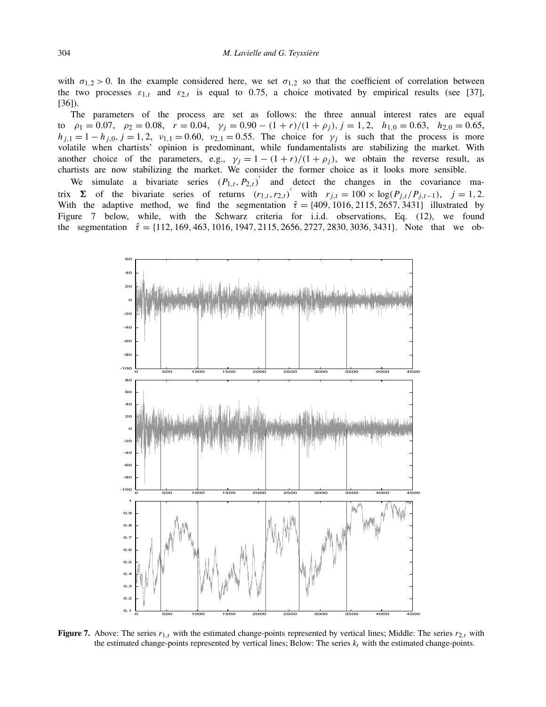with  $\sigma_{1,2} > 0$ . In the example considered here, we set  $\sigma_{1,2}$  so that the coefficient of correlation between the two processes  $\varepsilon_{1,t}$  and  $\varepsilon_{2,t}$  is equal to 0.75, a choice motivated by empirical results (see [37], [36]).

The parameters of the process are set as follows: the three annual interest rates are equal to  $\rho_1 = 0.07$ ,  $\rho_2 = 0.08$ ,  $r = 0.04$ ,  $\gamma_i = 0.90 - (1 + r)/(1 + \rho_i)$ ,  $j = 1, 2$ ,  $h_{1,0} = 0.63$ ,  $h_{2,0} = 0.65$ ,  $h_{j,1} = 1 - h_{j,0}, j = 1, 2, v_{1,1} = 0.60, v_{2,1} = 0.55$ . The choice for  $\gamma_j$  is such that the process is more volatile when chartists' opinion is predominant, while fundamentalists are stabilizing the market. With another choice of the parameters, e.g.,  $\gamma_j = 1 - (1 + r)/(1 + \rho_j)$ , we obtain the reverse result, as chartists are now stabilizing the market. We consider the former choice as it looks more sensible.

We simulate a bivariate series  $(P_{1,t}, P_{2,t})'$  and detect the changes in the covariance matrix **Σ** of the bivariate series of returns  $(r_{1,t}, r_{2,t})'$  with  $r_{j,t} = 100 \times \log(P_{j,t}/P_{j,t-1})$ ,  $j = 1, 2$ . With the adaptive method, we find the segmentation  $\hat{\tau} = \{409, 1016, 2115, 2657, 3431\}$  illustrated by Figure 7 below, while, with the Schwarz criteria for i.i.d. observations, Eq. (12), we found the segmentation *τ*ˆ = {112*,* 169*,* 463*,* 1016*,* 1947*,* 2115*,* 2656*,* 2727*,* 2830*,* 3036*,* 3431}. Note that we ob-



**Figure 7.** Above: The series  $r_{1,t}$  with the estimated change-points represented by vertical lines; Middle: The series  $r_{2,t}$  with the estimated change-points represented by vertical lines; Below: The series  $k_t$  with the estimated change-points.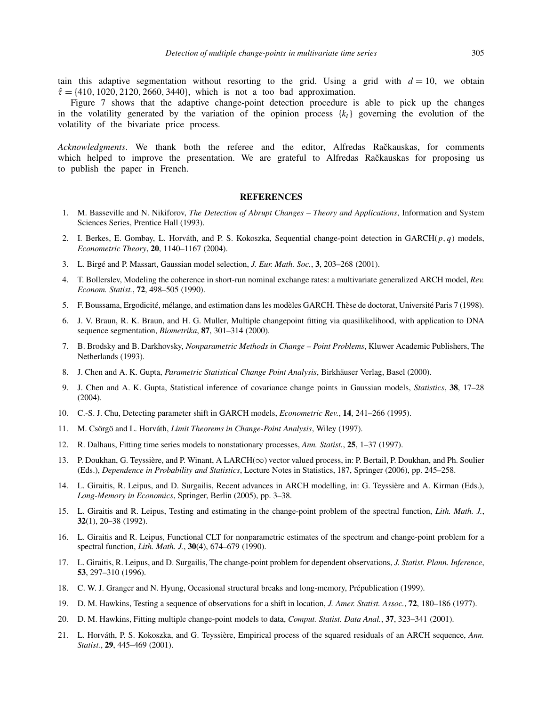tain this adaptive segmentation without resorting to the grid. Using a grid with  $d = 10$ , we obtain  $\hat{\tau} = \{410, 1020, 2120, 2660, 3440\}$ , which is not a too bad approximation.

Figure 7 shows that the adaptive change-point detection procedure is able to pick up the changes in the volatility generated by the variation of the opinion process  ${k_t}$  governing the evolution of the volatility of the bivariate price process.

Acknowledgments. We thank both the referee and the editor, Alfredas Račkauskas, for comments which helped to improve the presentation. We are grateful to Alfredas Rackauskas for proposing us to publish the paper in French.

# **REFERENCES**

- 1. M. Basseville and N. Nikiforov, *The Detection of Abrupt Changes Theory and Applications*, Information and System Sciences Series, Prentice Hall (1993).
- 2. I. Berkes, E. Gombay, L. Horváth, and P. S. Kokoszka, Sequential change-point detection in GARCH(*p, q*) models, *Econometric Theory*, **20**, 1140–1167 (2004).
- 3. L. Birgé and P. Massart, Gaussian model selection, *J. Eur. Math. Soc.*, **3**, 203–268 (2001).
- 4. T. Bollerslev, Modeling the coherence in short-run nominal exchange rates: a multivariate generalized ARCH model, *Rev. Econom. Statist.*, **72**, 498–505 (1990).
- 5. F. Boussama, Ergodicité, mélange, and estimation dans les modèles GARCH. Thèse de doctorat, Université Paris 7 (1998).
- 6. J. V. Braun, R. K. Braun, and H. G. Muller, Multiple changepoint fitting via quasilikelihood, with application to DNA sequence segmentation, *Biometrika*, **87**, 301–314 (2000).
- 7. B. Brodsky and B. Darkhovsky, *Nonparametric Methods in Change Point Problems*, Kluwer Academic Publishers, The Netherlands (1993).
- 8. J. Chen and A. K. Gupta, *Parametric Statistical Change Point Analysis*, Birkhäuser Verlag, Basel (2000).
- 9. J. Chen and A. K. Gupta, Statistical inference of covariance change points in Gaussian models, *Statistics*, **38**, 17–28 (2004).
- 10. C.-S. J. Chu, Detecting parameter shift in GARCH models, *Econometric Rev.*, **14**, 241–266 (1995).
- 11. M. Csörgö and L. Horváth, *Limit Theorems in Change-Point Analysis*, Wiley (1997).
- 12. R. Dalhaus, Fitting time series models to nonstationary processes, *Ann. Statist.*, **25**, 1–37 (1997).
- 13. P. Doukhan, G. Teyssière, and P. Winant, A LARCH(∞) vector valued process, in: P. Bertail, P. Doukhan, and Ph. Soulier (Eds.), *Dependence in Probability and Statistics*, Lecture Notes in Statistics, 187, Springer (2006), pp. 245–258.
- 14. L. Giraitis, R. Leipus, and D. Surgailis, Recent advances in ARCH modelling, in: G. Teyssière and A. Kirman (Eds.), *Long-Memory in Economics*, Springer, Berlin (2005), pp. 3–38.
- 15. L. Giraitis and R. Leipus, Testing and estimating in the change-point problem of the spectral function, *Lith. Math. J.*, **32**(1), 20–38 (1992).
- 16. L. Giraitis and R. Leipus, Functional CLT for nonparametric estimates of the spectrum and change-point problem for a spectral function, *Lith. Math. J.*, **30**(4), 674–679 (1990).
- 17. L. Giraitis, R. Leipus, and D. Surgailis, The change-point problem for dependent observations, *J. Statist. Plann. Inference*, **53**, 297–310 (1996).
- 18. C. W. J. Granger and N. Hyung, Occasional structural breaks and long-memory, Prépublication (1999).
- 19. D. M. Hawkins, Testing a sequence of observations for a shift in location, *J. Amer. Statist. Assoc.*, **72**, 180–186 (1977).
- 20. D. M. Hawkins, Fitting multiple change-point models to data, *Comput. Statist. Data Anal.*, **37**, 323–341 (2001).
- 21. L. Horváth, P. S. Kokoszka, and G. Teyssière, Empirical process of the squared residuals of an ARCH sequence, *Ann. Statist.*, **29**, 445–469 (2001).